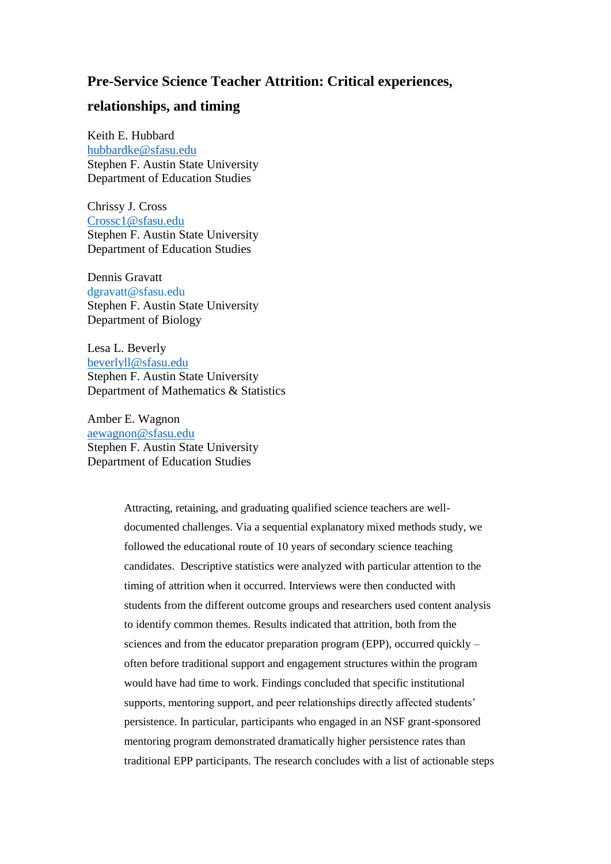# **Pre-Service Science Teacher Attrition: Critical experiences,**

## **relationships, and timing**

Keith E. Hubbard [hubbardke@sfasu.edu](mailto:hubbardke@sfasu.edu) Stephen F. Austin State University Department of Education Studies

Chrissy J. Cross [Crossc1@sfasu.edu](mailto:Crossc1@sfasu.edu) Stephen F. Austin State University Department of Education Studies

Dennis Gravatt dgravatt@sfasu.edu Stephen F. Austin State University Department of Biology

Lesa L. Beverly [beverlyll@sfasu.edu](mailto:beverlyll@sfasu.edu) Stephen F. Austin State University Department of Mathematics & Statistics

Amber E. Wagnon [aewagnon@sfasu.edu](mailto:aewagnon@sfasu.edu) Stephen F. Austin State University Department of Education Studies

> Attracting, retaining, and graduating qualified science teachers are welldocumented challenges. Via a sequential explanatory mixed methods study, we followed the educational route of 10 years of secondary science teaching candidates. Descriptive statistics were analyzed with particular attention to the timing of attrition when it occurred. Interviews were then conducted with students from the different outcome groups and researchers used content analysis to identify common themes. Results indicated that attrition, both from the sciences and from the educator preparation program (EPP), occurred quickly – often before traditional support and engagement structures within the program would have had time to work. Findings concluded that specific institutional supports, mentoring support, and peer relationships directly affected students' persistence. In particular, participants who engaged in an NSF grant-sponsored mentoring program demonstrated dramatically higher persistence rates than traditional EPP participants. The research concludes with a list of actionable steps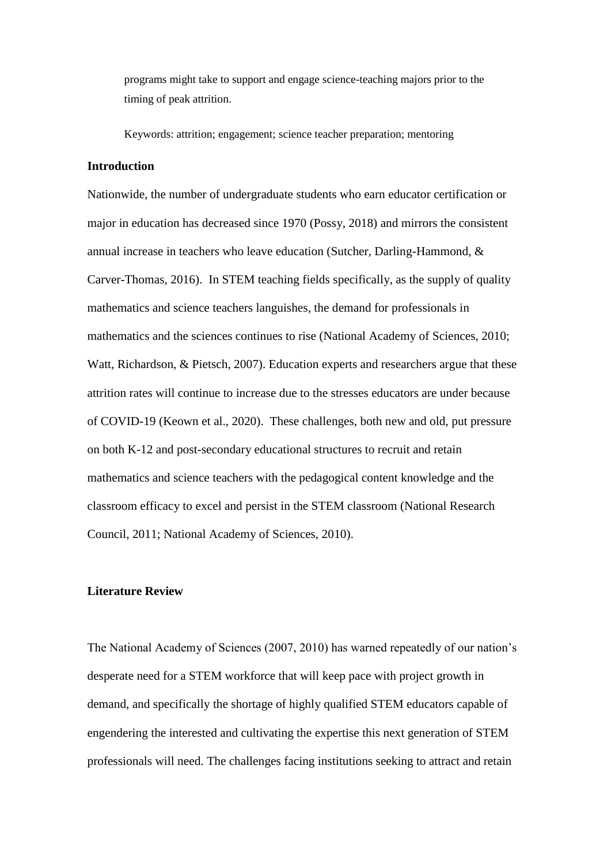programs might take to support and engage science-teaching majors prior to the timing of peak attrition.

Keywords: attrition; engagement; science teacher preparation; mentoring

### **Introduction**

Nationwide, the number of undergraduate students who earn educator certification or major in education has decreased since 1970 (Possy, 2018) and mirrors the consistent annual increase in teachers who leave education (Sutcher, Darling-Hammond, & Carver-Thomas, 2016). In STEM teaching fields specifically, as the supply of quality mathematics and science teachers languishes, the demand for professionals in mathematics and the sciences continues to rise (National Academy of Sciences, 2010; Watt, Richardson, & Pietsch, 2007). Education experts and researchers argue that these attrition rates will continue to increase due to the stresses educators are under because of COVID-19 (Keown et al., 2020). These challenges, both new and old, put pressure on both K-12 and post-secondary educational structures to recruit and retain mathematics and science teachers with the pedagogical content knowledge and the classroom efficacy to excel and persist in the STEM classroom (National Research Council, 2011; National Academy of Sciences, 2010).

### **Literature Review**

The National Academy of Sciences (2007, 2010) has warned repeatedly of our nation's desperate need for a STEM workforce that will keep pace with project growth in demand, and specifically the shortage of highly qualified STEM educators capable of engendering the interested and cultivating the expertise this next generation of STEM professionals will need. The challenges facing institutions seeking to attract and retain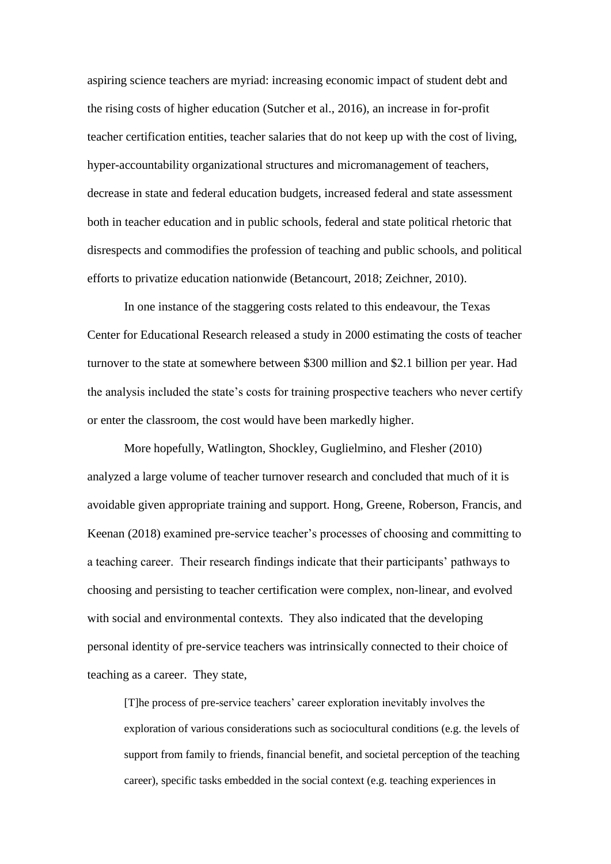aspiring science teachers are myriad: increasing economic impact of student debt and the rising costs of higher education (Sutcher et al., 2016), an increase in for-profit teacher certification entities, teacher salaries that do not keep up with the cost of living, hyper-accountability organizational structures and micromanagement of teachers, decrease in state and federal education budgets, increased federal and state assessment both in teacher education and in public schools, federal and state political rhetoric that disrespects and commodifies the profession of teaching and public schools, and political efforts to privatize education nationwide (Betancourt, 2018; Zeichner, 2010).

In one instance of the staggering costs related to this endeavour, the Texas Center for Educational Research released a study in 2000 estimating the costs of teacher turnover to the state at somewhere between \$300 million and \$2.1 billion per year. Had the analysis included the state's costs for training prospective teachers who never certify or enter the classroom, the cost would have been markedly higher.

More hopefully, Watlington, Shockley, Guglielmino, and Flesher (2010) analyzed a large volume of teacher turnover research and concluded that much of it is avoidable given appropriate training and support. Hong, Greene, Roberson, Francis, and Keenan (2018) examined pre-service teacher's processes of choosing and committing to a teaching career. Their research findings indicate that their participants' pathways to choosing and persisting to teacher certification were complex, non-linear, and evolved with social and environmental contexts. They also indicated that the developing personal identity of pre-service teachers was intrinsically connected to their choice of teaching as a career. They state,

[T]he process of pre-service teachers' career exploration inevitably involves the exploration of various considerations such as sociocultural conditions (e.g. the levels of support from family to friends, financial benefit, and societal perception of the teaching career), specific tasks embedded in the social context (e.g. teaching experiences in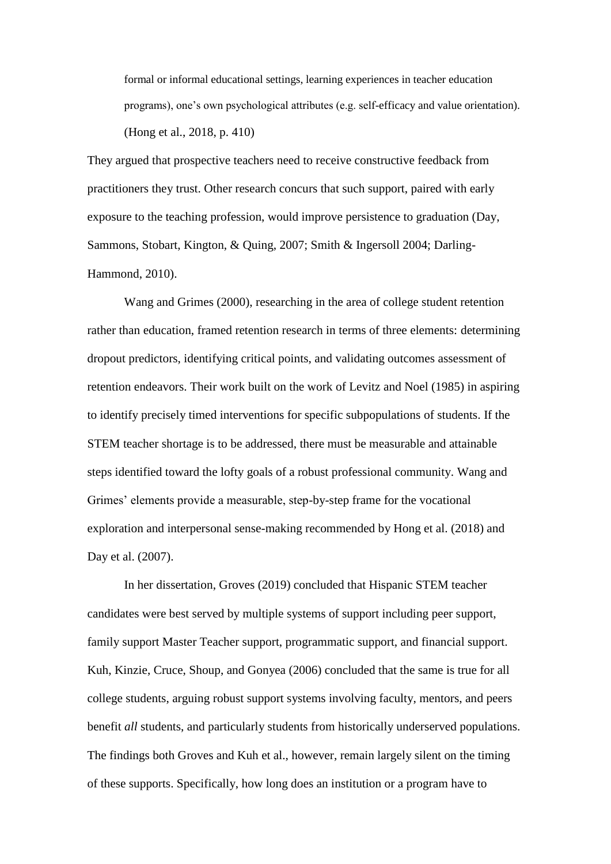formal or informal educational settings, learning experiences in teacher education programs), one's own psychological attributes (e.g. self-efficacy and value orientation). (Hong et al., 2018, p. 410)

They argued that prospective teachers need to receive constructive feedback from practitioners they trust. Other research concurs that such support, paired with early exposure to the teaching profession, would improve persistence to graduation (Day, Sammons, Stobart, Kington, & Quing, 2007; Smith & Ingersoll 2004; Darling-Hammond, 2010).

Wang and Grimes (2000), researching in the area of college student retention rather than education, framed retention research in terms of three elements: determining dropout predictors, identifying critical points, and validating outcomes assessment of retention endeavors. Their work built on the work of Levitz and Noel (1985) in aspiring to identify precisely timed interventions for specific subpopulations of students. If the STEM teacher shortage is to be addressed, there must be measurable and attainable steps identified toward the lofty goals of a robust professional community. Wang and Grimes' elements provide a measurable, step-by-step frame for the vocational exploration and interpersonal sense-making recommended by Hong et al. (2018) and Day et al. (2007).

In her dissertation, Groves (2019) concluded that Hispanic STEM teacher candidates were best served by multiple systems of support including peer support, family support Master Teacher support, programmatic support, and financial support. Kuh, Kinzie, Cruce, Shoup, and Gonyea (2006) concluded that the same is true for all college students, arguing robust support systems involving faculty, mentors, and peers benefit *all* students, and particularly students from historically underserved populations. The findings both Groves and Kuh et al., however, remain largely silent on the timing of these supports. Specifically, how long does an institution or a program have to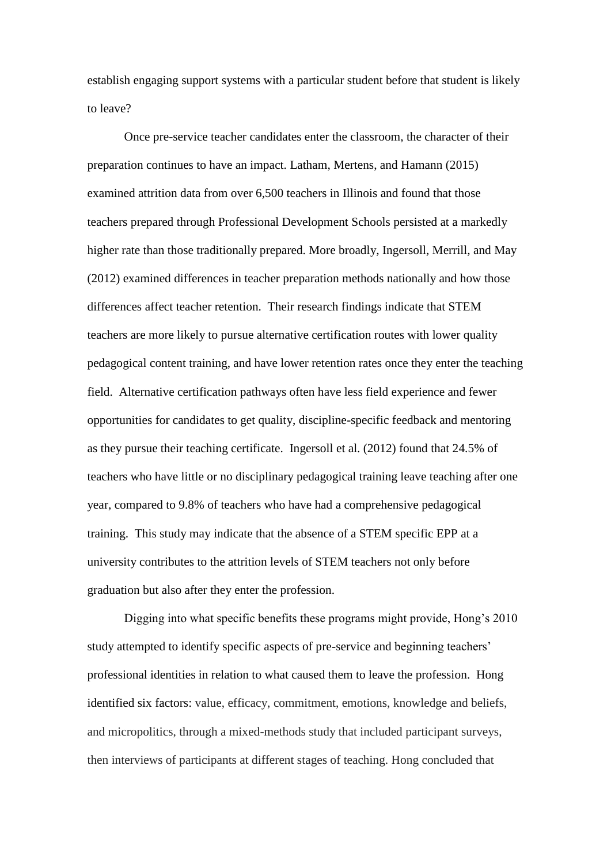establish engaging support systems with a particular student before that student is likely to leave?

Once pre-service teacher candidates enter the classroom, the character of their preparation continues to have an impact. Latham, Mertens, and Hamann (2015) examined attrition data from over 6,500 teachers in Illinois and found that those teachers prepared through Professional Development Schools persisted at a markedly higher rate than those traditionally prepared. More broadly, Ingersoll, Merrill, and May (2012) examined differences in teacher preparation methods nationally and how those differences affect teacher retention. Their research findings indicate that STEM teachers are more likely to pursue alternative certification routes with lower quality pedagogical content training, and have lower retention rates once they enter the teaching field. Alternative certification pathways often have less field experience and fewer opportunities for candidates to get quality, discipline-specific feedback and mentoring as they pursue their teaching certificate. Ingersoll et al. (2012) found that 24.5% of teachers who have little or no disciplinary pedagogical training leave teaching after one year, compared to 9.8% of teachers who have had a comprehensive pedagogical training. This study may indicate that the absence of a STEM specific EPP at a university contributes to the attrition levels of STEM teachers not only before graduation but also after they enter the profession.

Digging into what specific benefits these programs might provide, Hong's 2010 study attempted to identify specific aspects of pre-service and beginning teachers' professional identities in relation to what caused them to leave the profession. Hong identified six factors: value, efficacy, commitment, emotions, knowledge and beliefs, and micropolitics, through a mixed-methods study that included participant surveys, then interviews of participants at different stages of teaching. Hong concluded that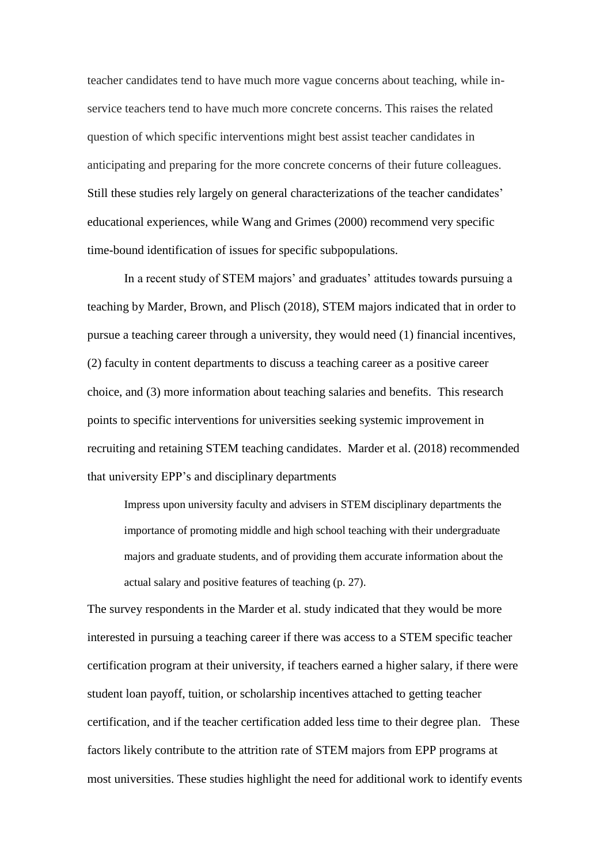teacher candidates tend to have much more vague concerns about teaching, while inservice teachers tend to have much more concrete concerns. This raises the related question of which specific interventions might best assist teacher candidates in anticipating and preparing for the more concrete concerns of their future colleagues. Still these studies rely largely on general characterizations of the teacher candidates' educational experiences, while Wang and Grimes (2000) recommend very specific time-bound identification of issues for specific subpopulations.

In a recent study of STEM majors' and graduates' attitudes towards pursuing a teaching by Marder, Brown, and Plisch (2018), STEM majors indicated that in order to pursue a teaching career through a university, they would need (1) financial incentives, (2) faculty in content departments to discuss a teaching career as a positive career choice, and (3) more information about teaching salaries and benefits. This research points to specific interventions for universities seeking systemic improvement in recruiting and retaining STEM teaching candidates. Marder et al. (2018) recommended that university EPP's and disciplinary departments

Impress upon university faculty and advisers in STEM disciplinary departments the importance of promoting middle and high school teaching with their undergraduate majors and graduate students, and of providing them accurate information about the actual salary and positive features of teaching (p. 27).

The survey respondents in the Marder et al. study indicated that they would be more interested in pursuing a teaching career if there was access to a STEM specific teacher certification program at their university, if teachers earned a higher salary, if there were student loan payoff, tuition, or scholarship incentives attached to getting teacher certification, and if the teacher certification added less time to their degree plan. These factors likely contribute to the attrition rate of STEM majors from EPP programs at most universities. These studies highlight the need for additional work to identify events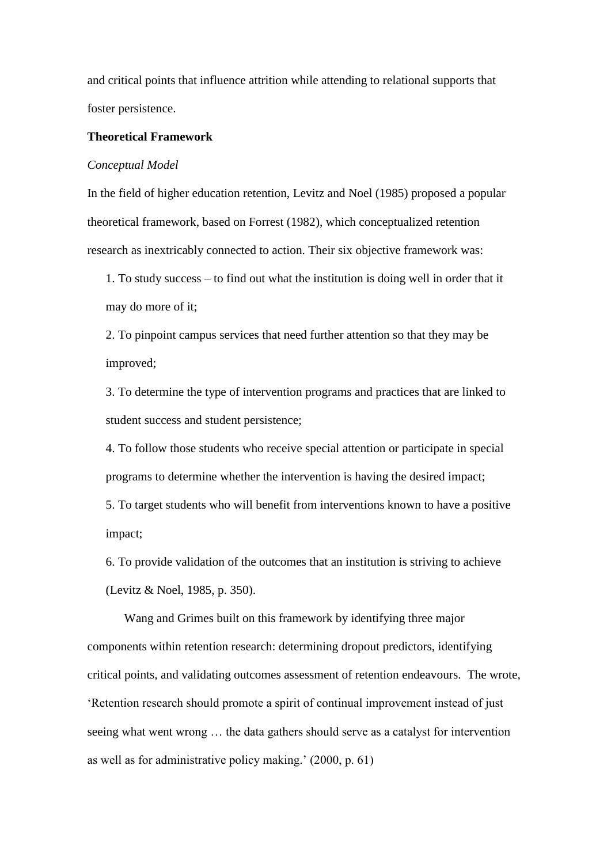and critical points that influence attrition while attending to relational supports that foster persistence.

### **Theoretical Framework**

### *Conceptual Model*

In the field of higher education retention, Levitz and Noel (1985) proposed a popular theoretical framework, based on Forrest (1982), which conceptualized retention research as inextricably connected to action. Their six objective framework was:

1. To study success – to find out what the institution is doing well in order that it may do more of it;

2. To pinpoint campus services that need further attention so that they may be improved;

3. To determine the type of intervention programs and practices that are linked to student success and student persistence;

4. To follow those students who receive special attention or participate in special programs to determine whether the intervention is having the desired impact;

5. To target students who will benefit from interventions known to have a positive impact;

6. To provide validation of the outcomes that an institution is striving to achieve (Levitz & Noel, 1985, p. 350).

Wang and Grimes built on this framework by identifying three major components within retention research: determining dropout predictors, identifying critical points, and validating outcomes assessment of retention endeavours. The wrote, 'Retention research should promote a spirit of continual improvement instead of just seeing what went wrong … the data gathers should serve as a catalyst for intervention as well as for administrative policy making.' (2000, p. 61)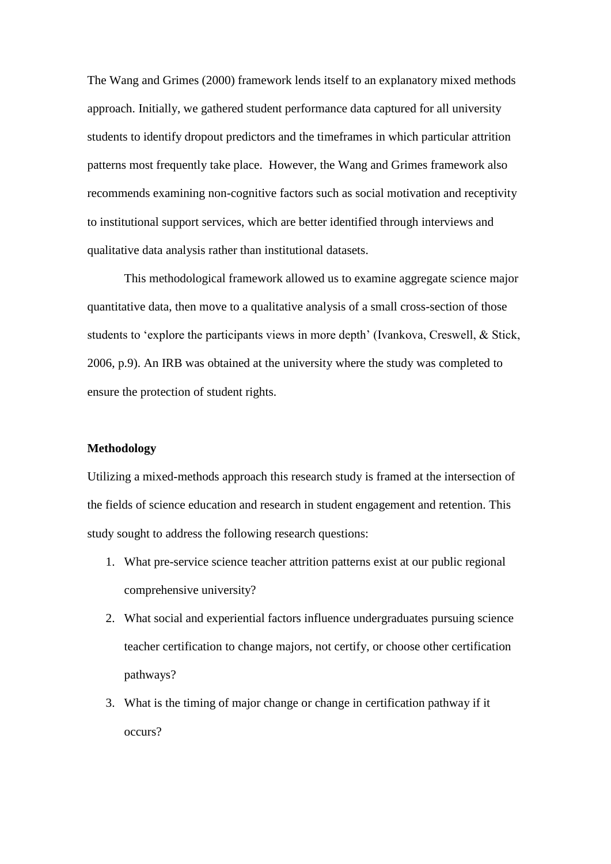The Wang and Grimes (2000) framework lends itself to an explanatory mixed methods approach. Initially, we gathered student performance data captured for all university students to identify dropout predictors and the timeframes in which particular attrition patterns most frequently take place. However, the Wang and Grimes framework also recommends examining non-cognitive factors such as social motivation and receptivity to institutional support services, which are better identified through interviews and qualitative data analysis rather than institutional datasets.

This methodological framework allowed us to examine aggregate science major quantitative data, then move to a qualitative analysis of a small cross-section of those students to 'explore the participants views in more depth' (Ivankova, Creswell, & Stick, 2006, p.9). An IRB was obtained at the university where the study was completed to ensure the protection of student rights.

### **Methodology**

Utilizing a mixed-methods approach this research study is framed at the intersection of the fields of science education and research in student engagement and retention. This study sought to address the following research questions:

- 1. What pre-service science teacher attrition patterns exist at our public regional comprehensive university?
- 2. What social and experiential factors influence undergraduates pursuing science teacher certification to change majors, not certify, or choose other certification pathways?
- 3. What is the timing of major change or change in certification pathway if it occurs?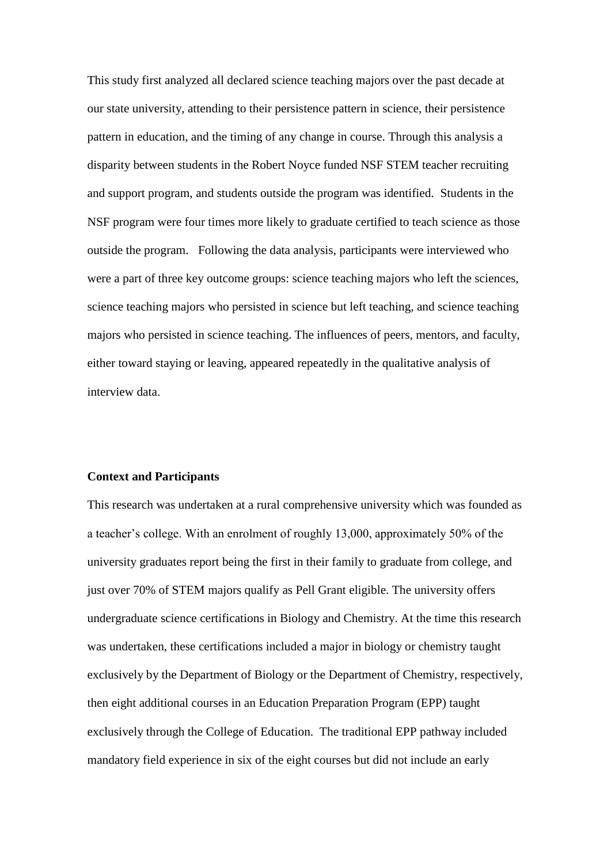This study first analyzed all declared science teaching majors over the past decade at our state university, attending to their persistence pattern in science, their persistence pattern in education, and the timing of any change in course. Through this analysis a disparity between students in the Robert Noyce funded NSF STEM teacher recruiting and support program, and students outside the program was identified. Students in the NSF program were four times more likely to graduate certified to teach science as those outside the program. Following the data analysis, participants were interviewed who were a part of three key outcome groups: science teaching majors who left the sciences, science teaching majors who persisted in science but left teaching, and science teaching majors who persisted in science teaching. The influences of peers, mentors, and faculty, either toward staying or leaving, appeared repeatedly in the qualitative analysis of interview data.

### **Context and Participants**

This research was undertaken at a rural comprehensive university which was founded as a teacher's college. With an enrolment of roughly 13,000, approximately 50% of the university graduates report being the first in their family to graduate from college, and just over 70% of STEM majors qualify as Pell Grant eligible. The university offers undergraduate science certifications in Biology and Chemistry. At the time this research was undertaken, these certifications included a major in biology or chemistry taught exclusively by the Department of Biology or the Department of Chemistry, respectively, then eight additional courses in an Education Preparation Program (EPP) taught exclusively through the College of Education. The traditional EPP pathway included mandatory field experience in six of the eight courses but did not include an early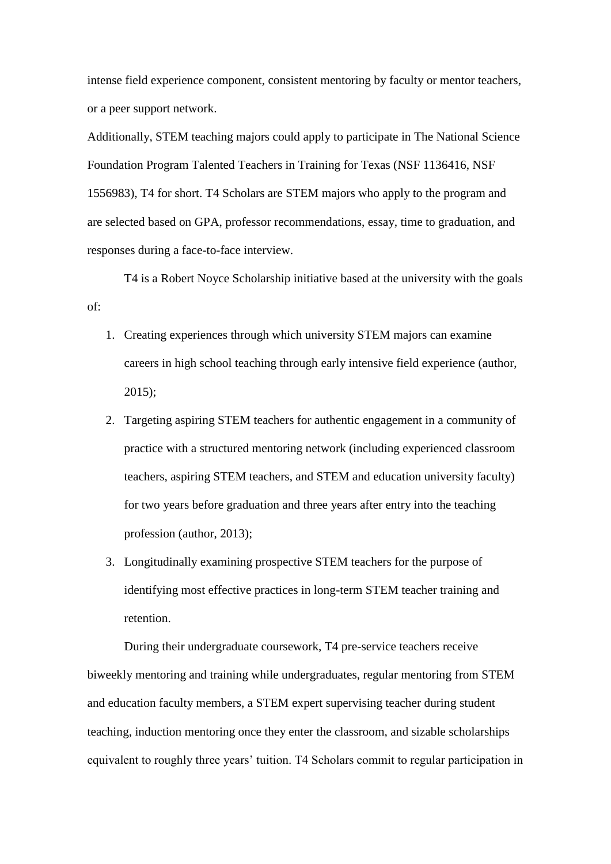intense field experience component, consistent mentoring by faculty or mentor teachers, or a peer support network.

Additionally, STEM teaching majors could apply to participate in The National Science Foundation Program Talented Teachers in Training for Texas (NSF 1136416, NSF 1556983), T4 for short. T4 Scholars are STEM majors who apply to the program and are selected based on GPA, professor recommendations, essay, time to graduation, and responses during a face-to-face interview.

T4 is a Robert Noyce Scholarship initiative based at the university with the goals of:

- 1. Creating experiences through which university STEM majors can examine careers in high school teaching through early intensive field experience (author, 2015);
- 2. Targeting aspiring STEM teachers for authentic engagement in a community of practice with a structured mentoring network (including experienced classroom teachers, aspiring STEM teachers, and STEM and education university faculty) for two years before graduation and three years after entry into the teaching profession (author, 2013);
- 3. Longitudinally examining prospective STEM teachers for the purpose of identifying most effective practices in long-term STEM teacher training and retention.

During their undergraduate coursework, T4 pre-service teachers receive biweekly mentoring and training while undergraduates, regular mentoring from STEM and education faculty members, a STEM expert supervising teacher during student teaching, induction mentoring once they enter the classroom, and sizable scholarships equivalent to roughly three years' tuition. T4 Scholars commit to regular participation in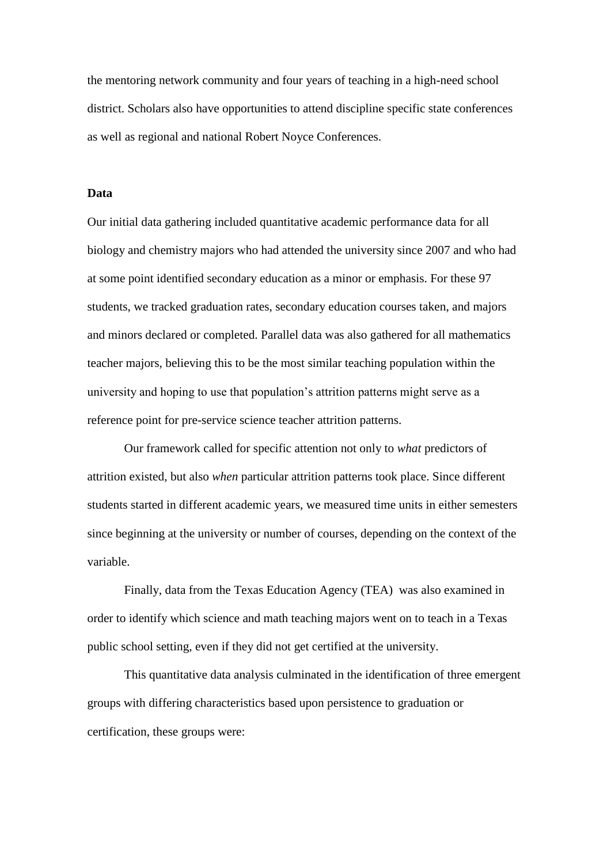the mentoring network community and four years of teaching in a high-need school district. Scholars also have opportunities to attend discipline specific state conferences as well as regional and national Robert Noyce Conferences.

### **Data**

Our initial data gathering included quantitative academic performance data for all biology and chemistry majors who had attended the university since 2007 and who had at some point identified secondary education as a minor or emphasis. For these 97 students, we tracked graduation rates, secondary education courses taken, and majors and minors declared or completed. Parallel data was also gathered for all mathematics teacher majors, believing this to be the most similar teaching population within the university and hoping to use that population's attrition patterns might serve as a reference point for pre-service science teacher attrition patterns.

Our framework called for specific attention not only to *what* predictors of attrition existed, but also *when* particular attrition patterns took place. Since different students started in different academic years, we measured time units in either semesters since beginning at the university or number of courses, depending on the context of the variable.

Finally, data from the Texas Education Agency (TEA) was also examined in order to identify which science and math teaching majors went on to teach in a Texas public school setting, even if they did not get certified at the university.

This quantitative data analysis culminated in the identification of three emergent groups with differing characteristics based upon persistence to graduation or certification, these groups were: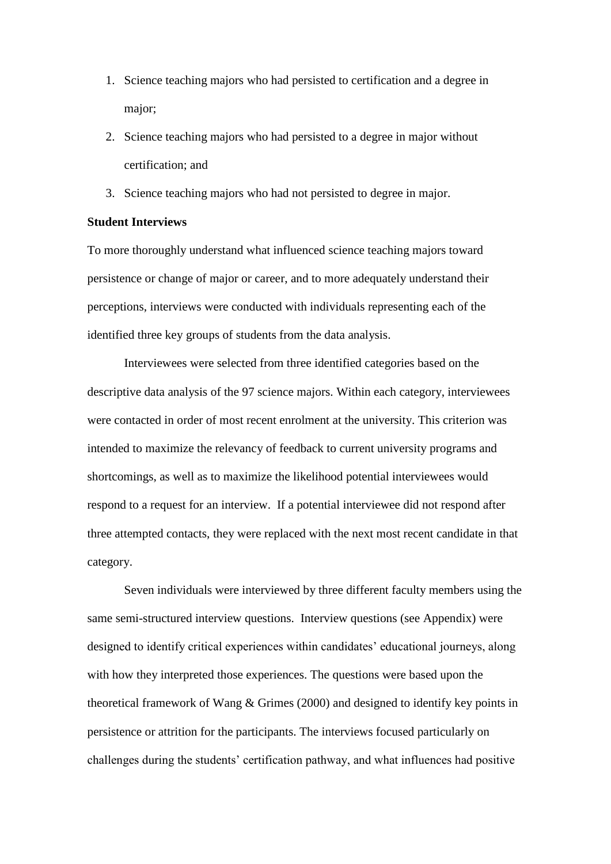- 1. Science teaching majors who had persisted to certification and a degree in major;
- 2. Science teaching majors who had persisted to a degree in major without certification; and
- 3. Science teaching majors who had not persisted to degree in major.

## **Student Interviews**

To more thoroughly understand what influenced science teaching majors toward persistence or change of major or career, and to more adequately understand their perceptions, interviews were conducted with individuals representing each of the identified three key groups of students from the data analysis.

Interviewees were selected from three identified categories based on the descriptive data analysis of the 97 science majors. Within each category, interviewees were contacted in order of most recent enrolment at the university. This criterion was intended to maximize the relevancy of feedback to current university programs and shortcomings, as well as to maximize the likelihood potential interviewees would respond to a request for an interview. If a potential interviewee did not respond after three attempted contacts, they were replaced with the next most recent candidate in that category.

Seven individuals were interviewed by three different faculty members using the same semi-structured interview questions. Interview questions (see Appendix) were designed to identify critical experiences within candidates' educational journeys, along with how they interpreted those experiences. The questions were based upon the theoretical framework of Wang & Grimes (2000) and designed to identify key points in persistence or attrition for the participants. The interviews focused particularly on challenges during the students' certification pathway, and what influences had positive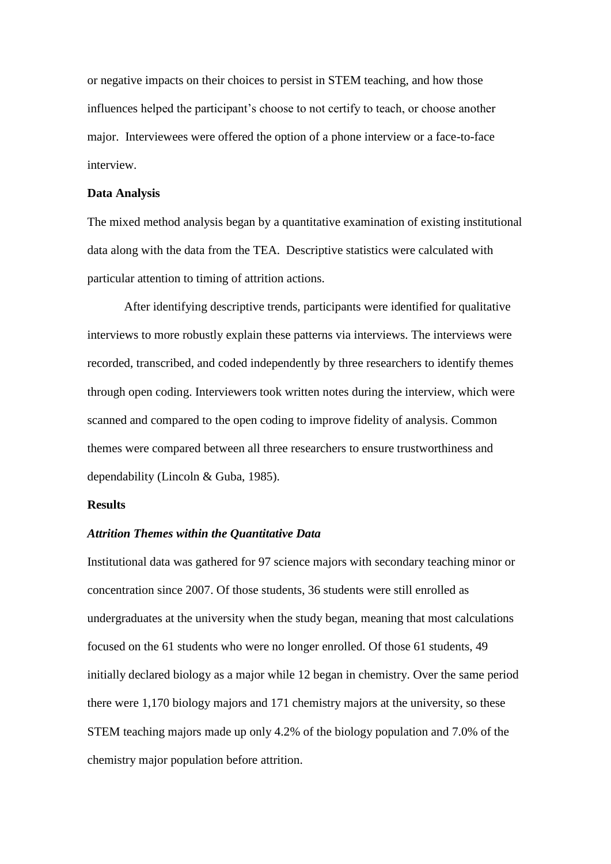or negative impacts on their choices to persist in STEM teaching, and how those influences helped the participant's choose to not certify to teach, or choose another major. Interviewees were offered the option of a phone interview or a face-to-face interview.

### **Data Analysis**

The mixed method analysis began by a quantitative examination of existing institutional data along with the data from the TEA. Descriptive statistics were calculated with particular attention to timing of attrition actions.

After identifying descriptive trends, participants were identified for qualitative interviews to more robustly explain these patterns via interviews. The interviews were recorded, transcribed, and coded independently by three researchers to identify themes through open coding. Interviewers took written notes during the interview, which were scanned and compared to the open coding to improve fidelity of analysis. Common themes were compared between all three researchers to ensure trustworthiness and dependability (Lincoln & Guba, 1985).

### **Results**

### *Attrition Themes within the Quantitative Data*

Institutional data was gathered for 97 science majors with secondary teaching minor or concentration since 2007. Of those students, 36 students were still enrolled as undergraduates at the university when the study began, meaning that most calculations focused on the 61 students who were no longer enrolled. Of those 61 students, 49 initially declared biology as a major while 12 began in chemistry. Over the same period there were 1,170 biology majors and 171 chemistry majors at the university, so these STEM teaching majors made up only 4.2% of the biology population and 7.0% of the chemistry major population before attrition.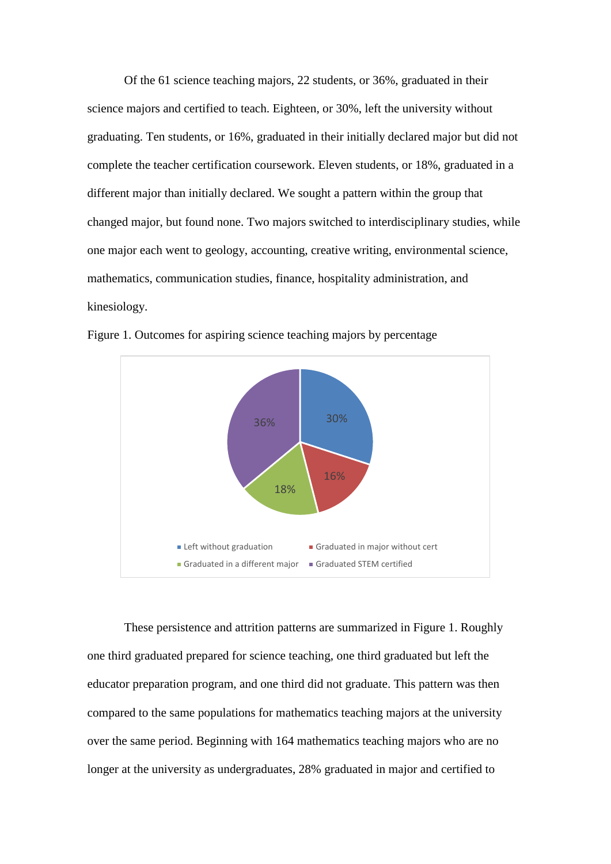Of the 61 science teaching majors, 22 students, or 36%, graduated in their science majors and certified to teach. Eighteen, or 30%, left the university without graduating. Ten students, or 16%, graduated in their initially declared major but did not complete the teacher certification coursework. Eleven students, or 18%, graduated in a different major than initially declared. We sought a pattern within the group that changed major, but found none. Two majors switched to interdisciplinary studies, while one major each went to geology, accounting, creative writing, environmental science, mathematics, communication studies, finance, hospitality administration, and kinesiology.



Figure 1. Outcomes for aspiring science teaching majors by percentage

These persistence and attrition patterns are summarized in Figure 1. Roughly one third graduated prepared for science teaching, one third graduated but left the educator preparation program, and one third did not graduate. This pattern was then compared to the same populations for mathematics teaching majors at the university over the same period. Beginning with 164 mathematics teaching majors who are no longer at the university as undergraduates, 28% graduated in major and certified to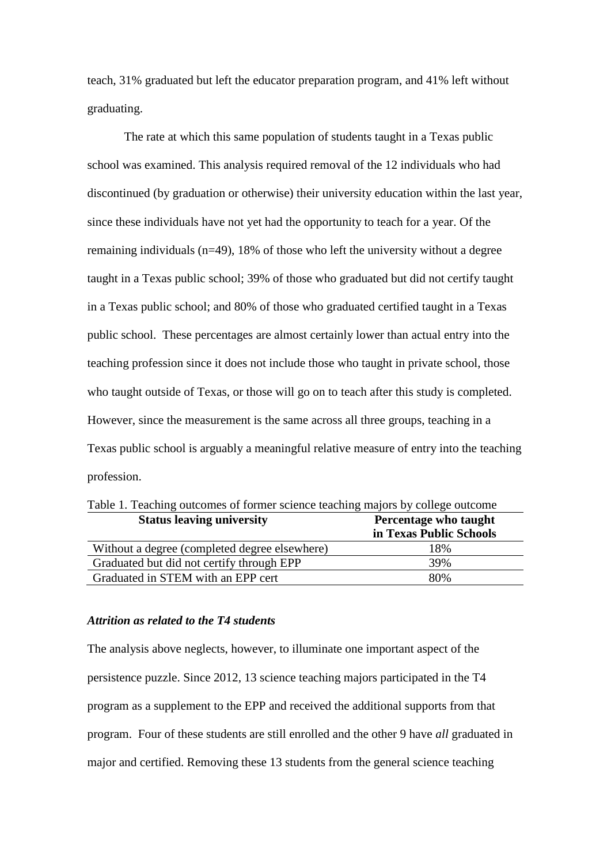teach, 31% graduated but left the educator preparation program, and 41% left without graduating.

The rate at which this same population of students taught in a Texas public school was examined. This analysis required removal of the 12 individuals who had discontinued (by graduation or otherwise) their university education within the last year, since these individuals have not yet had the opportunity to teach for a year. Of the remaining individuals (n=49), 18% of those who left the university without a degree taught in a Texas public school; 39% of those who graduated but did not certify taught in a Texas public school; and 80% of those who graduated certified taught in a Texas public school. These percentages are almost certainly lower than actual entry into the teaching profession since it does not include those who taught in private school, those who taught outside of Texas, or those will go on to teach after this study is completed. However, since the measurement is the same across all three groups, teaching in a Texas public school is arguably a meaningful relative measure of entry into the teaching profession.

| Table 1. Teaching outcomes of former science teaching majors by college outcome |                         |  |
|---------------------------------------------------------------------------------|-------------------------|--|
| <b>Status leaving university</b>                                                | Percentage who taught   |  |
|                                                                                 | in Texas Public Schools |  |
| Without a degree (completed degree elsewhere)                                   | 18%                     |  |
| Graduated but did not certify through EPP                                       | 39%                     |  |
| Graduated in STEM with an EPP cert                                              | 80%                     |  |

#### *Attrition as related to the T4 students*

The analysis above neglects, however, to illuminate one important aspect of the persistence puzzle. Since 2012, 13 science teaching majors participated in the T4 program as a supplement to the EPP and received the additional supports from that program. Four of these students are still enrolled and the other 9 have *all* graduated in major and certified. Removing these 13 students from the general science teaching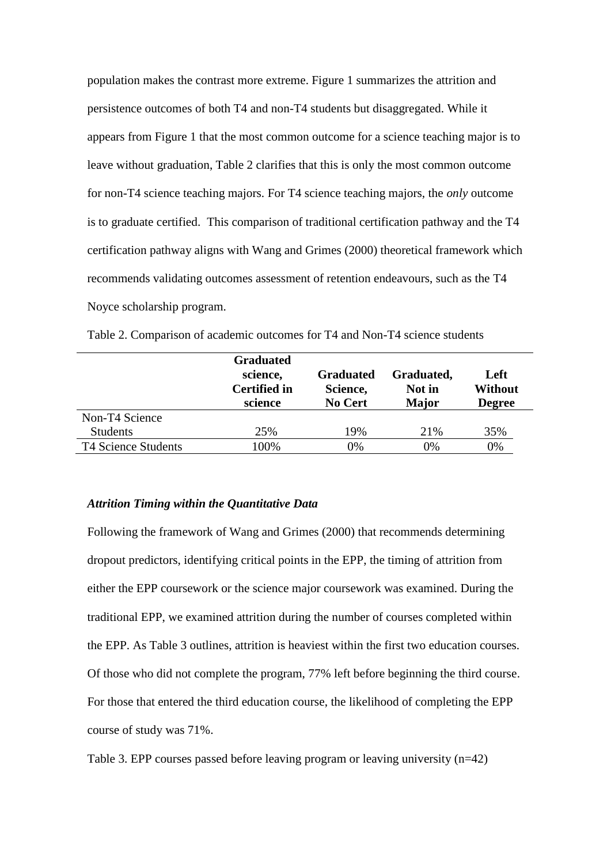population makes the contrast more extreme. Figure 1 summarizes the attrition and persistence outcomes of both T4 and non-T4 students but disaggregated. While it appears from Figure 1 that the most common outcome for a science teaching major is to leave without graduation, Table 2 clarifies that this is only the most common outcome for non-T4 science teaching majors. For T4 science teaching majors, the *only* outcome is to graduate certified. This comparison of traditional certification pathway and the T4 certification pathway aligns with Wang and Grimes (2000) theoretical framework which recommends validating outcomes assessment of retention endeavours, such as the T4 Noyce scholarship program.

|                     | <b>Graduated</b><br>science,<br><b>Certified in</b><br>science | <b>Graduated</b><br>Science,<br><b>No Cert</b> | Graduated,<br>Not in<br><b>Major</b> | Left<br>Without<br><b>Degree</b> |
|---------------------|----------------------------------------------------------------|------------------------------------------------|--------------------------------------|----------------------------------|
| Non-T4 Science      |                                                                |                                                |                                      |                                  |
| <b>Students</b>     | 25%                                                            | 19%                                            | 21%                                  | 35%                              |
| T4 Science Students | 100%                                                           | 0%                                             | 0%                                   | 0%                               |

Table 2. Comparison of academic outcomes for T4 and Non-T4 science students

#### *Attrition Timing within the Quantitative Data*

Following the framework of Wang and Grimes (2000) that recommends determining dropout predictors, identifying critical points in the EPP, the timing of attrition from either the EPP coursework or the science major coursework was examined. During the traditional EPP, we examined attrition during the number of courses completed within the EPP. As Table 3 outlines, attrition is heaviest within the first two education courses. Of those who did not complete the program, 77% left before beginning the third course. For those that entered the third education course, the likelihood of completing the EPP course of study was 71%.

Table 3. EPP courses passed before leaving program or leaving university (n=42)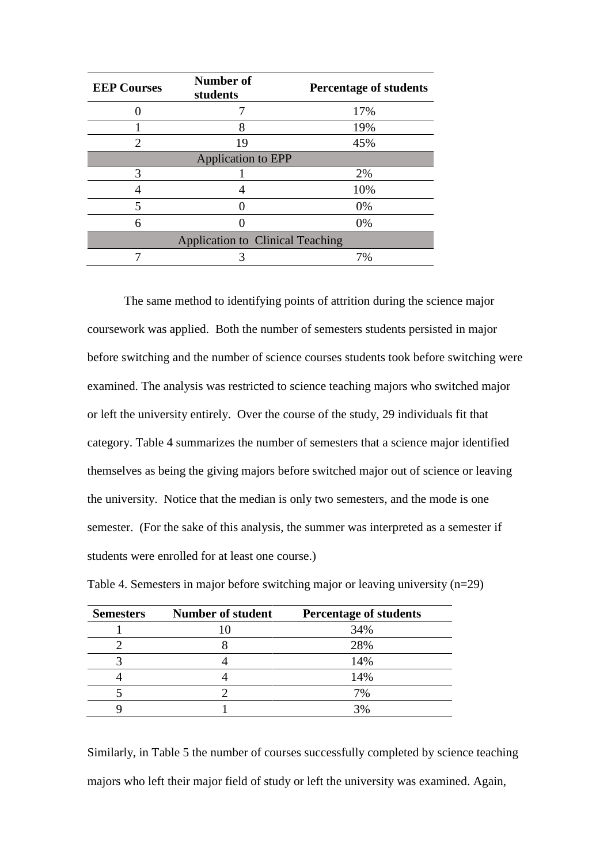| <b>EEP Courses</b>                      | <b>Number of</b><br>students | <b>Percentage of students</b> |  |  |
|-----------------------------------------|------------------------------|-------------------------------|--|--|
|                                         |                              | 17%                           |  |  |
|                                         | 8                            | 19%                           |  |  |
| 2                                       | 19                           | 45%                           |  |  |
| <b>Application to EPP</b>               |                              |                               |  |  |
| 3                                       |                              | 2%                            |  |  |
|                                         |                              | 10%                           |  |  |
|                                         |                              | 0%                            |  |  |
| 6                                       |                              | 0%                            |  |  |
| <b>Application to Clinical Teaching</b> |                              |                               |  |  |
|                                         |                              | 7%                            |  |  |

The same method to identifying points of attrition during the science major coursework was applied. Both the number of semesters students persisted in major before switching and the number of science courses students took before switching were examined. The analysis was restricted to science teaching majors who switched major or left the university entirely. Over the course of the study, 29 individuals fit that category. Table 4 summarizes the number of semesters that a science major identified themselves as being the giving majors before switched major out of science or leaving the university. Notice that the median is only two semesters, and the mode is one semester. (For the sake of this analysis, the summer was interpreted as a semester if students were enrolled for at least one course.)

| <b>Semesters</b> | <b>Number of student</b> | <b>Percentage of students</b> |
|------------------|--------------------------|-------------------------------|
|                  |                          | 34%                           |
|                  |                          | 28%                           |
|                  |                          | 14%                           |
|                  |                          | 14%                           |
|                  |                          | 7%                            |
|                  |                          | 3%                            |

Table 4. Semesters in major before switching major or leaving university (n=29)

Similarly, in Table 5 the number of courses successfully completed by science teaching majors who left their major field of study or left the university was examined. Again,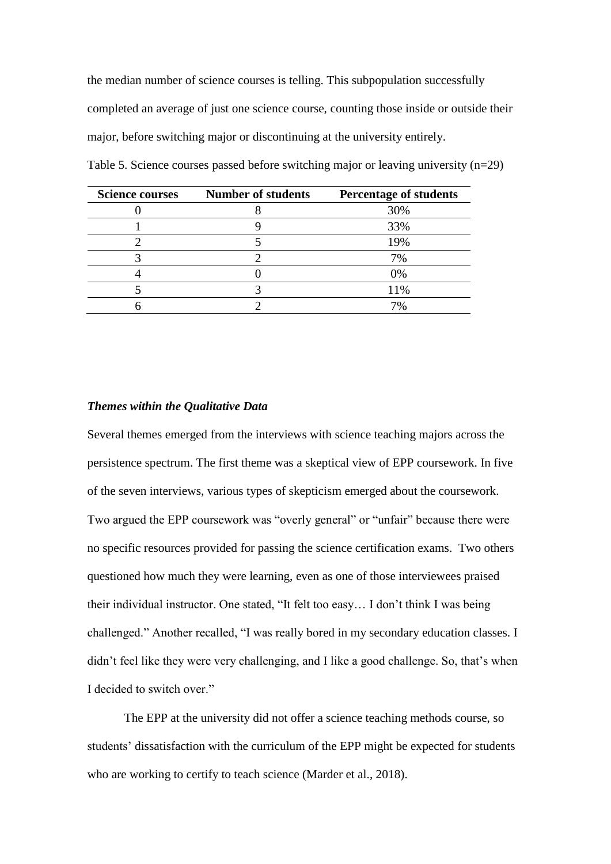the median number of science courses is telling. This subpopulation successfully completed an average of just one science course, counting those inside or outside their major, before switching major or discontinuing at the university entirely.

| <b>Science courses</b> | <b>Number of students</b> | <b>Percentage of students</b> |
|------------------------|---------------------------|-------------------------------|
|                        |                           | 30%                           |
|                        |                           | 33%                           |
|                        |                           | 19%                           |
|                        |                           | 7%                            |
|                        |                           | 0%                            |
|                        |                           | 11%                           |
|                        |                           | 7%                            |

Table 5. Science courses passed before switching major or leaving university (n=29)

#### *Themes within the Qualitative Data*

Several themes emerged from the interviews with science teaching majors across the persistence spectrum. The first theme was a skeptical view of EPP coursework. In five of the seven interviews, various types of skepticism emerged about the coursework. Two argued the EPP coursework was "overly general" or "unfair" because there were no specific resources provided for passing the science certification exams. Two others questioned how much they were learning, even as one of those interviewees praised their individual instructor. One stated, "It felt too easy… I don't think I was being challenged." Another recalled, "I was really bored in my secondary education classes. I didn't feel like they were very challenging, and I like a good challenge. So, that's when I decided to switch over."

The EPP at the university did not offer a science teaching methods course, so students' dissatisfaction with the curriculum of the EPP might be expected for students who are working to certify to teach science (Marder et al., 2018).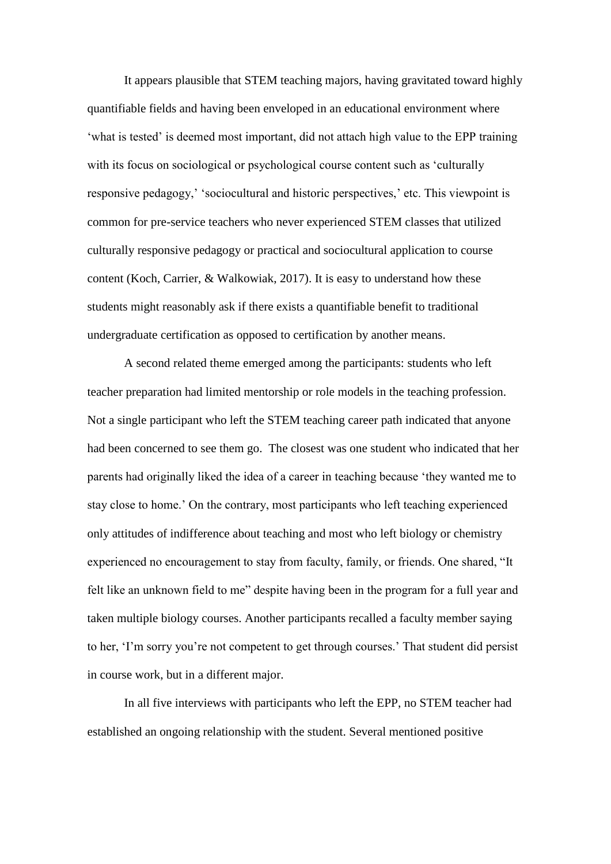It appears plausible that STEM teaching majors, having gravitated toward highly quantifiable fields and having been enveloped in an educational environment where 'what is tested' is deemed most important, did not attach high value to the EPP training with its focus on sociological or psychological course content such as 'culturally responsive pedagogy,' 'sociocultural and historic perspectives,' etc. This viewpoint is common for pre-service teachers who never experienced STEM classes that utilized culturally responsive pedagogy or practical and sociocultural application to course content (Koch, Carrier, & Walkowiak, 2017). It is easy to understand how these students might reasonably ask if there exists a quantifiable benefit to traditional undergraduate certification as opposed to certification by another means.

A second related theme emerged among the participants: students who left teacher preparation had limited mentorship or role models in the teaching profession. Not a single participant who left the STEM teaching career path indicated that anyone had been concerned to see them go. The closest was one student who indicated that her parents had originally liked the idea of a career in teaching because 'they wanted me to stay close to home.' On the contrary, most participants who left teaching experienced only attitudes of indifference about teaching and most who left biology or chemistry experienced no encouragement to stay from faculty, family, or friends. One shared, "It felt like an unknown field to me" despite having been in the program for a full year and taken multiple biology courses. Another participants recalled a faculty member saying to her, 'I'm sorry you're not competent to get through courses.' That student did persist in course work, but in a different major.

In all five interviews with participants who left the EPP, no STEM teacher had established an ongoing relationship with the student. Several mentioned positive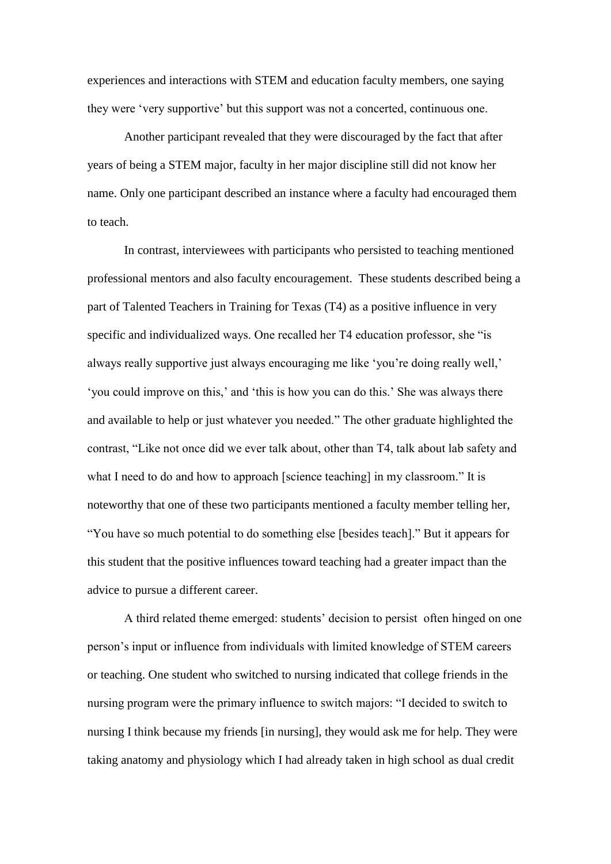experiences and interactions with STEM and education faculty members, one saying they were 'very supportive' but this support was not a concerted, continuous one.

Another participant revealed that they were discouraged by the fact that after years of being a STEM major, faculty in her major discipline still did not know her name. Only one participant described an instance where a faculty had encouraged them to teach.

In contrast, interviewees with participants who persisted to teaching mentioned professional mentors and also faculty encouragement. These students described being a part of Talented Teachers in Training for Texas (T4) as a positive influence in very specific and individualized ways. One recalled her T4 education professor, she "is always really supportive just always encouraging me like 'you're doing really well,' 'you could improve on this,' and 'this is how you can do this.' She was always there and available to help or just whatever you needed." The other graduate highlighted the contrast, "Like not once did we ever talk about, other than T4, talk about lab safety and what I need to do and how to approach [science teaching] in my classroom." It is noteworthy that one of these two participants mentioned a faculty member telling her, "You have so much potential to do something else [besides teach]." But it appears for this student that the positive influences toward teaching had a greater impact than the advice to pursue a different career.

A third related theme emerged: students' decision to persist often hinged on one person's input or influence from individuals with limited knowledge of STEM careers or teaching. One student who switched to nursing indicated that college friends in the nursing program were the primary influence to switch majors: "I decided to switch to nursing I think because my friends [in nursing], they would ask me for help. They were taking anatomy and physiology which I had already taken in high school as dual credit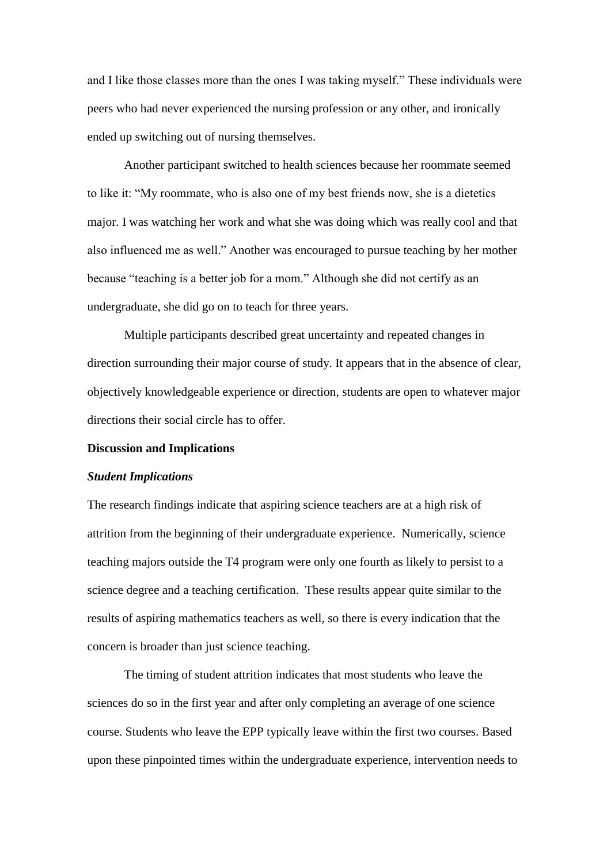and I like those classes more than the ones I was taking myself." These individuals were peers who had never experienced the nursing profession or any other, and ironically ended up switching out of nursing themselves.

Another participant switched to health sciences because her roommate seemed to like it: "My roommate, who is also one of my best friends now, she is a dietetics major. I was watching her work and what she was doing which was really cool and that also influenced me as well." Another was encouraged to pursue teaching by her mother because "teaching is a better job for a mom." Although she did not certify as an undergraduate, she did go on to teach for three years.

Multiple participants described great uncertainty and repeated changes in direction surrounding their major course of study. It appears that in the absence of clear, objectively knowledgeable experience or direction, students are open to whatever major directions their social circle has to offer.

#### **Discussion and Implications**

#### *Student Implications*

The research findings indicate that aspiring science teachers are at a high risk of attrition from the beginning of their undergraduate experience. Numerically, science teaching majors outside the T4 program were only one fourth as likely to persist to a science degree and a teaching certification. These results appear quite similar to the results of aspiring mathematics teachers as well, so there is every indication that the concern is broader than just science teaching.

The timing of student attrition indicates that most students who leave the sciences do so in the first year and after only completing an average of one science course. Students who leave the EPP typically leave within the first two courses. Based upon these pinpointed times within the undergraduate experience, intervention needs to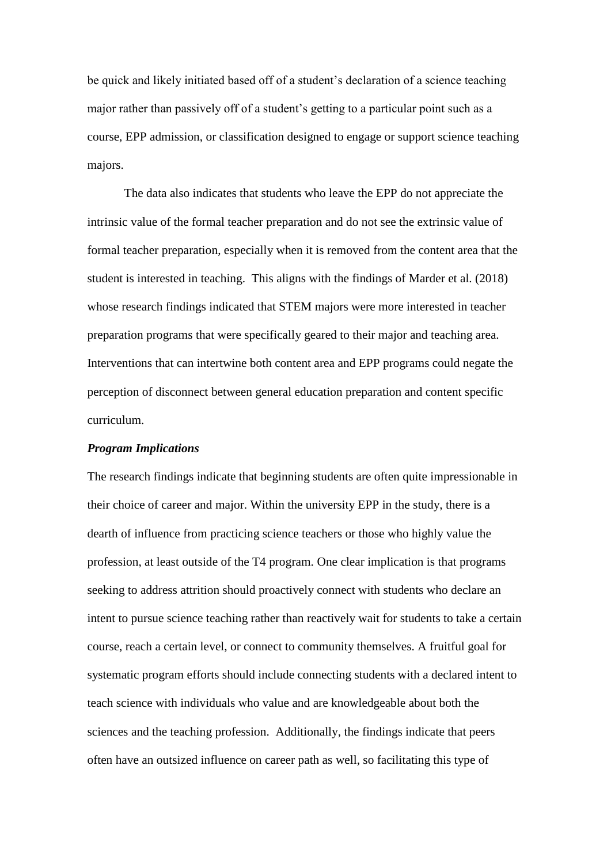be quick and likely initiated based off of a student's declaration of a science teaching major rather than passively off of a student's getting to a particular point such as a course, EPP admission, or classification designed to engage or support science teaching majors.

The data also indicates that students who leave the EPP do not appreciate the intrinsic value of the formal teacher preparation and do not see the extrinsic value of formal teacher preparation, especially when it is removed from the content area that the student is interested in teaching. This aligns with the findings of Marder et al. (2018) whose research findings indicated that STEM majors were more interested in teacher preparation programs that were specifically geared to their major and teaching area. Interventions that can intertwine both content area and EPP programs could negate the perception of disconnect between general education preparation and content specific curriculum.

#### *Program Implications*

The research findings indicate that beginning students are often quite impressionable in their choice of career and major. Within the university EPP in the study, there is a dearth of influence from practicing science teachers or those who highly value the profession, at least outside of the T4 program. One clear implication is that programs seeking to address attrition should proactively connect with students who declare an intent to pursue science teaching rather than reactively wait for students to take a certain course, reach a certain level, or connect to community themselves. A fruitful goal for systematic program efforts should include connecting students with a declared intent to teach science with individuals who value and are knowledgeable about both the sciences and the teaching profession. Additionally, the findings indicate that peers often have an outsized influence on career path as well, so facilitating this type of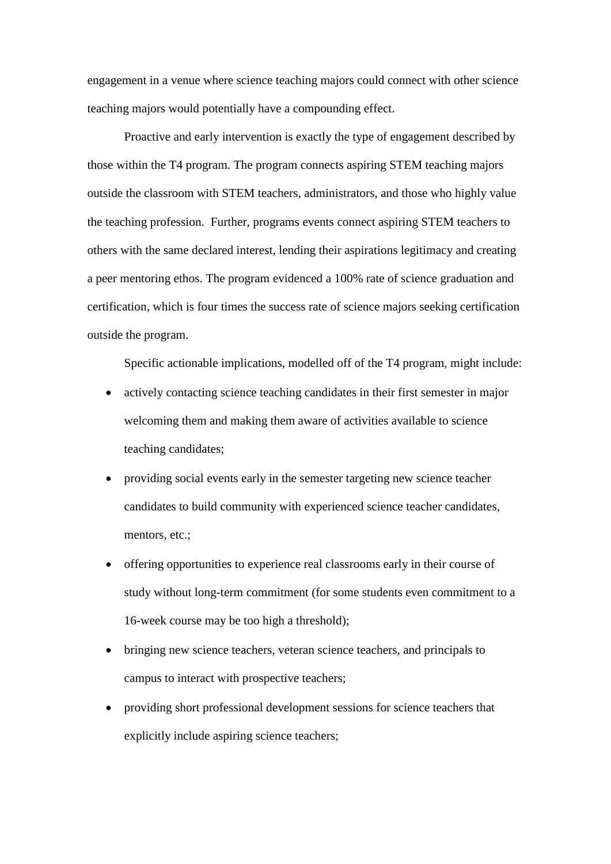engagement in a venue where science teaching majors could connect with other science teaching majors would potentially have a compounding effect.

Proactive and early intervention is exactly the type of engagement described by those within the T4 program. The program connects aspiring STEM teaching majors outside the classroom with STEM teachers, administrators, and those who highly value the teaching profession. Further, programs events connect aspiring STEM teachers to others with the same declared interest, lending their aspirations legitimacy and creating a peer mentoring ethos. The program evidenced a 100% rate of science graduation and certification, which is four times the success rate of science majors seeking certification outside the program.

Specific actionable implications, modelled off of the T4 program, might include:

- actively contacting science teaching candidates in their first semester in major welcoming them and making them aware of activities available to science teaching candidates;
- providing social events early in the semester targeting new science teacher candidates to build community with experienced science teacher candidates, mentors, etc.;
- offering opportunities to experience real classrooms early in their course of study without long-term commitment (for some students even commitment to a 16-week course may be too high a threshold);
- bringing new science teachers, veteran science teachers, and principals to campus to interact with prospective teachers;
- providing short professional development sessions for science teachers that explicitly include aspiring science teachers;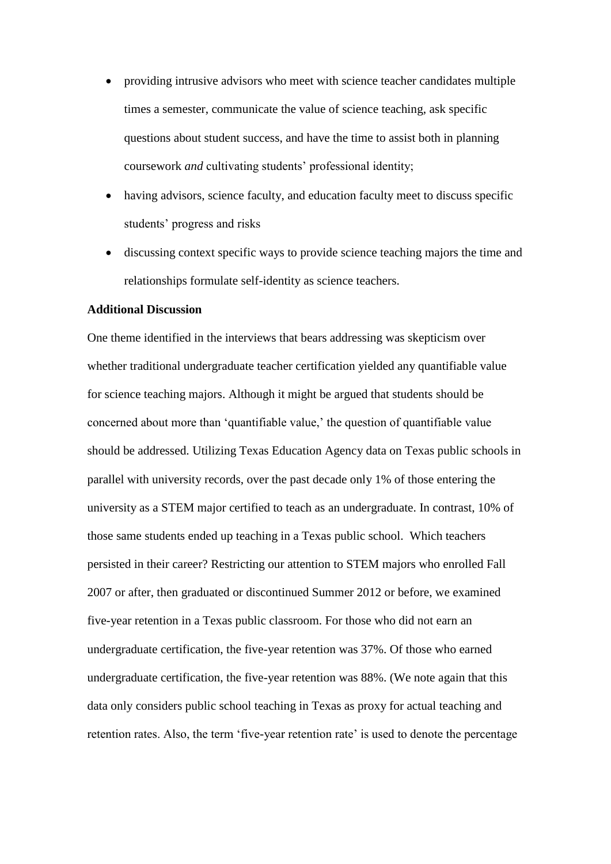- providing intrusive advisors who meet with science teacher candidates multiple times a semester, communicate the value of science teaching, ask specific questions about student success, and have the time to assist both in planning coursework *and* cultivating students' professional identity;
- having advisors, science faculty, and education faculty meet to discuss specific students' progress and risks
- discussing context specific ways to provide science teaching majors the time and relationships formulate self-identity as science teachers.

### **Additional Discussion**

One theme identified in the interviews that bears addressing was skepticism over whether traditional undergraduate teacher certification yielded any quantifiable value for science teaching majors. Although it might be argued that students should be concerned about more than 'quantifiable value,' the question of quantifiable value should be addressed. Utilizing Texas Education Agency data on Texas public schools in parallel with university records, over the past decade only 1% of those entering the university as a STEM major certified to teach as an undergraduate. In contrast, 10% of those same students ended up teaching in a Texas public school. Which teachers persisted in their career? Restricting our attention to STEM majors who enrolled Fall 2007 or after, then graduated or discontinued Summer 2012 or before, we examined five-year retention in a Texas public classroom. For those who did not earn an undergraduate certification, the five-year retention was 37%. Of those who earned undergraduate certification, the five-year retention was 88%. (We note again that this data only considers public school teaching in Texas as proxy for actual teaching and retention rates. Also, the term 'five-year retention rate' is used to denote the percentage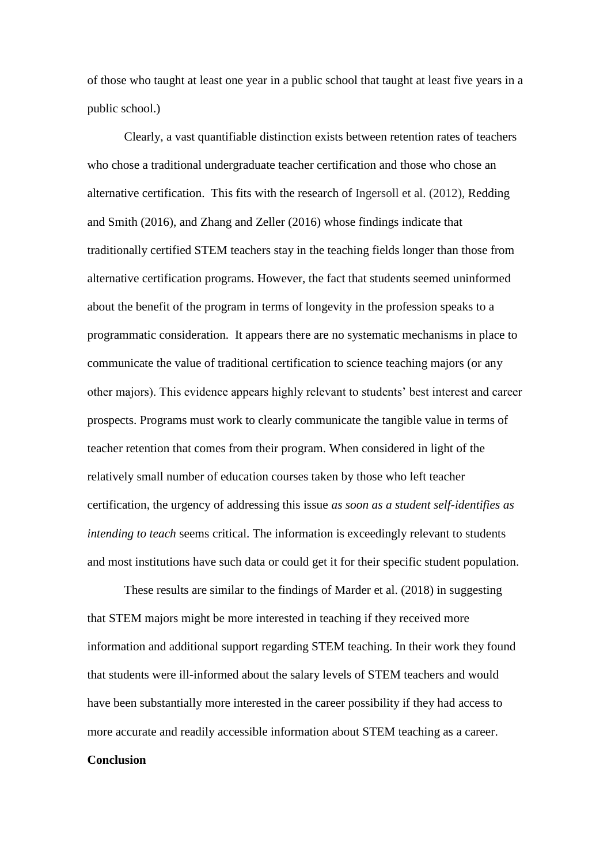of those who taught at least one year in a public school that taught at least five years in a public school.)

Clearly, a vast quantifiable distinction exists between retention rates of teachers who chose a traditional undergraduate teacher certification and those who chose an alternative certification. This fits with the research of Ingersoll et al. (2012), Redding and Smith (2016), and Zhang and Zeller (2016) whose findings indicate that traditionally certified STEM teachers stay in the teaching fields longer than those from alternative certification programs. However, the fact that students seemed uninformed about the benefit of the program in terms of longevity in the profession speaks to a programmatic consideration. It appears there are no systematic mechanisms in place to communicate the value of traditional certification to science teaching majors (or any other majors). This evidence appears highly relevant to students' best interest and career prospects. Programs must work to clearly communicate the tangible value in terms of teacher retention that comes from their program. When considered in light of the relatively small number of education courses taken by those who left teacher certification, the urgency of addressing this issue *as soon as a student self-identifies as intending to teach* seems critical. The information is exceedingly relevant to students and most institutions have such data or could get it for their specific student population.

These results are similar to the findings of Marder et al. (2018) in suggesting that STEM majors might be more interested in teaching if they received more information and additional support regarding STEM teaching. In their work they found that students were ill-informed about the salary levels of STEM teachers and would have been substantially more interested in the career possibility if they had access to more accurate and readily accessible information about STEM teaching as a career.

# **Conclusion**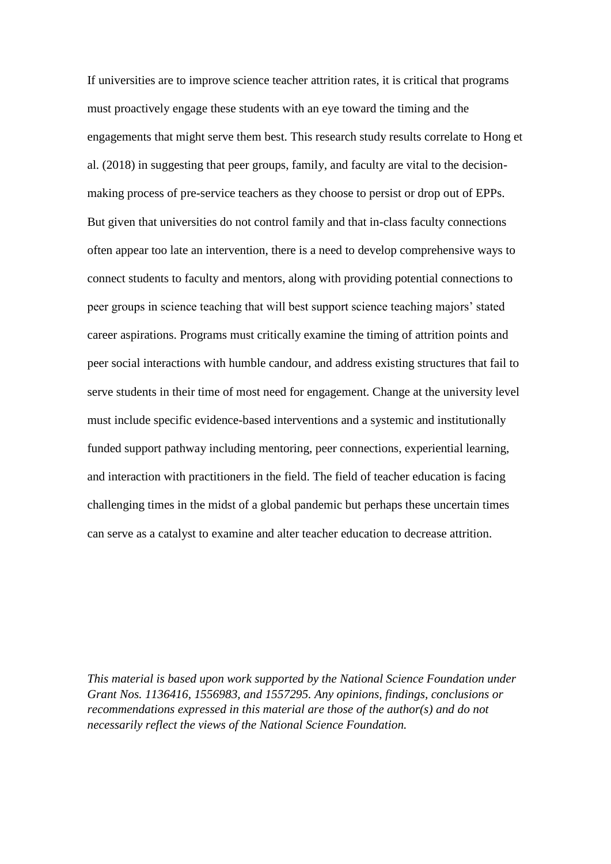If universities are to improve science teacher attrition rates, it is critical that programs must proactively engage these students with an eye toward the timing and the engagements that might serve them best. This research study results correlate to Hong et al. (2018) in suggesting that peer groups, family, and faculty are vital to the decisionmaking process of pre-service teachers as they choose to persist or drop out of EPPs. But given that universities do not control family and that in-class faculty connections often appear too late an intervention, there is a need to develop comprehensive ways to connect students to faculty and mentors, along with providing potential connections to peer groups in science teaching that will best support science teaching majors' stated career aspirations. Programs must critically examine the timing of attrition points and peer social interactions with humble candour, and address existing structures that fail to serve students in their time of most need for engagement. Change at the university level must include specific evidence-based interventions and a systemic and institutionally funded support pathway including mentoring, peer connections, experiential learning, and interaction with practitioners in the field. The field of teacher education is facing challenging times in the midst of a global pandemic but perhaps these uncertain times can serve as a catalyst to examine and alter teacher education to decrease attrition.

*This material is based upon work supported by the National Science Foundation under Grant Nos. 1136416, 1556983, and 1557295. Any opinions, findings, conclusions or recommendations expressed in this material are those of the author(s) and do not necessarily reflect the views of the National Science Foundation.*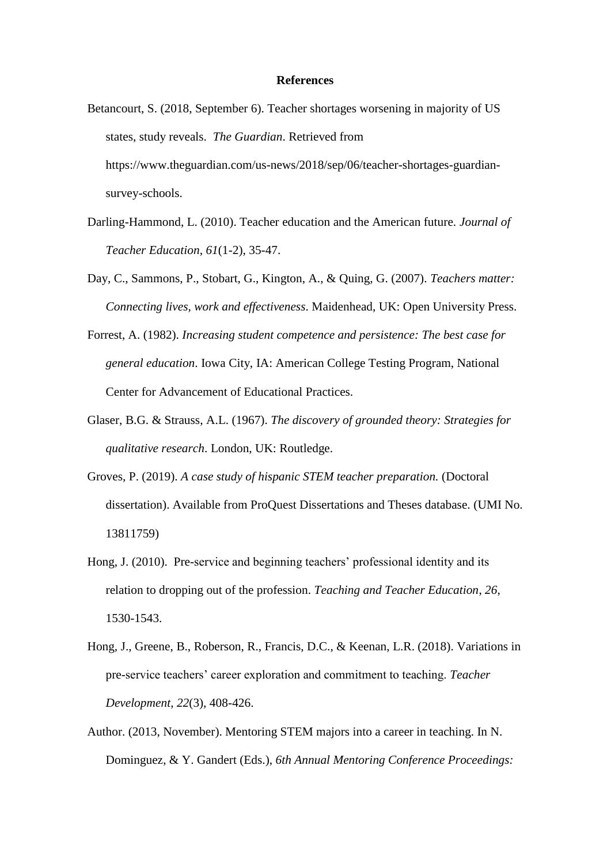### **References**

- Betancourt, S. (2018, September 6). Teacher shortages worsening in majority of US states, study reveals. *The Guardian*. Retrieved from https://www.theguardian.com/us-news/2018/sep/06/teacher-shortages-guardiansurvey-schools.
- Darling-Hammond, L. (2010). Teacher education and the American future. *Journal of Teacher Education*, *61*(1-2), 35-47.
- Day, C., Sammons, P., Stobart, G., Kington, A., & Quing, G. (2007). *Teachers matter: Connecting lives, work and effectiveness*. Maidenhead, UK: Open University Press.
- Forrest, A. (1982). *Increasing student competence and persistence: The best case for general education*. Iowa City, IA: American College Testing Program, National Center for Advancement of Educational Practices.
- Glaser, B.G. & Strauss, A.L. (1967). *The discovery of grounded theory: Strategies for qualitative research*. London, UK: Routledge.
- Groves, P. (2019). *A case study of hispanic STEM teacher preparation.* (Doctoral dissertation). Available from ProQuest Dissertations and Theses database. (UMI No. 13811759)
- Hong, J. (2010). Pre-service and beginning teachers' professional identity and its relation to dropping out of the profession. *Teaching and Teacher Education*, *26*, 1530-1543.
- Hong, J., Greene, B., Roberson, R., Francis, D.C., & Keenan, L.R. (2018). Variations in pre-service teachers' career exploration and commitment to teaching. *Teacher Development*, *22*(3), 408-426.
- Author. (2013, November). Mentoring STEM majors into a career in teaching. In N. Dominguez, & Y. Gandert (Eds.), *6th Annual Mentoring Conference Proceedings:*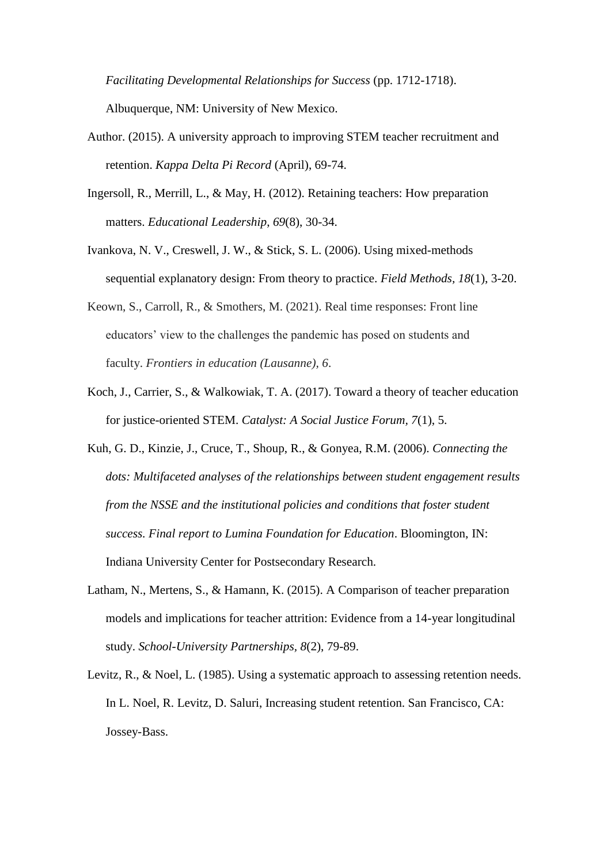*Facilitating Developmental Relationships for Success* (pp. 1712-1718). Albuquerque, NM: University of New Mexico.

- Author. (2015). A university approach to improving STEM teacher recruitment and retention. *Kappa Delta Pi Record* (April), 69-74.
- Ingersoll, R., Merrill, L., & May, H. (2012). Retaining teachers: How preparation matters. *Educational Leadership*, *69*(8), 30-34.
- Ivankova, N. V., Creswell, J. W., & Stick, S. L. (2006). Using mixed-methods sequential explanatory design: From theory to practice. *Field Methods, 18*(1), 3-20.
- Keown, S., Carroll, R., & Smothers, M. (2021). Real time responses: Front line educators' view to the challenges the pandemic has posed on students and faculty. *Frontiers in education (Lausanne), 6*.
- Koch, J., Carrier, S., & Walkowiak, T. A. (2017). Toward a theory of teacher education for justice-oriented STEM. *Catalyst: A Social Justice Forum, 7*(1), 5.
- Kuh, G. D., Kinzie, J., Cruce, T., Shoup, R., & Gonyea, R.M. (2006). *Connecting the dots: Multifaceted analyses of the relationships between student engagement results from the NSSE and the institutional policies and conditions that foster student success. Final report to Lumina Foundation for Education*. Bloomington, IN: Indiana University Center for Postsecondary Research.
- Latham, N., Mertens, S., & Hamann, K. (2015). A Comparison of teacher preparation models and implications for teacher attrition: Evidence from a 14-year longitudinal study. *School-University Partnerships, 8*(2), 79-89.
- Levitz, R., & Noel, L. (1985). Using a systematic approach to assessing retention needs. In L. Noel, R. Levitz, D. Saluri, Increasing student retention. San Francisco, CA: Jossey-Bass.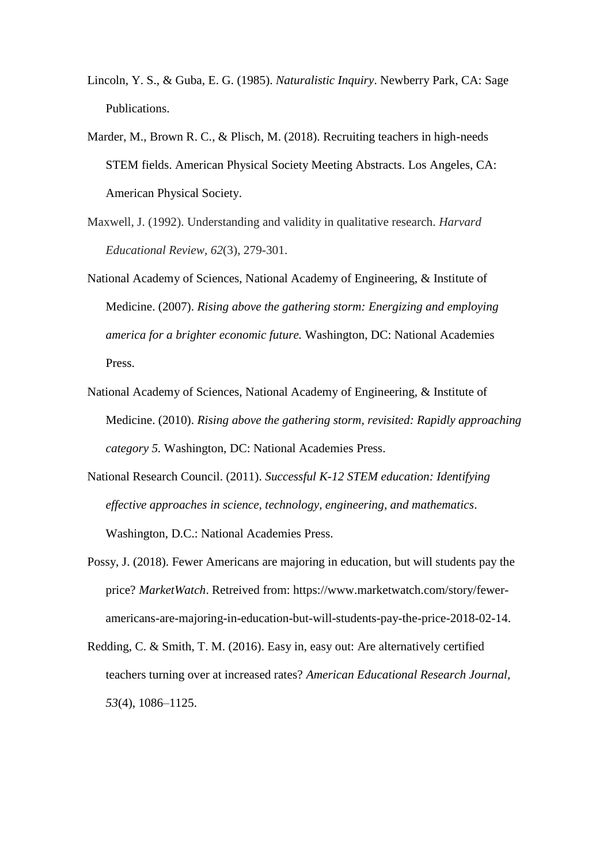- Lincoln, Y. S., & Guba, E. G. (1985). *Naturalistic Inquiry*. Newberry Park, CA: Sage Publications.
- Marder, M., Brown R. C., & Plisch, M. (2018). Recruiting teachers in high-needs STEM fields. American Physical Society Meeting Abstracts. Los Angeles, CA: American Physical Society.
- Maxwell, J. (1992). Understanding and validity in qualitative research. *Harvard Educational Review*, *62*(3), 279-301.
- National Academy of Sciences, National Academy of Engineering, & Institute of Medicine. (2007). *Rising above the gathering storm: Energizing and employing america for a brighter economic future.* Washington, DC: National Academies Press.
- National Academy of Sciences, National Academy of Engineering, & Institute of Medicine. (2010). *Rising above the gathering storm, revisited: Rapidly approaching category 5.* Washington, DC: National Academies Press.
- National Research Council. (2011). *Successful K-12 STEM education: Identifying effective approaches in science, technology, engineering, and mathematics*. Washington, D.C.: National Academies Press.
- Possy, J. (2018). Fewer Americans are majoring in education, but will students pay the price? *MarketWatch*. Retreived from: https://www.marketwatch.com/story/feweramericans-are-majoring-in-education-but-will-students-pay-the-price-2018-02-14.
- Redding, C. & Smith, T. M. (2016). Easy in, easy out: Are alternatively certified teachers turning over at increased rates? *American Educational Research Journal, 53*(4), 1086–1125.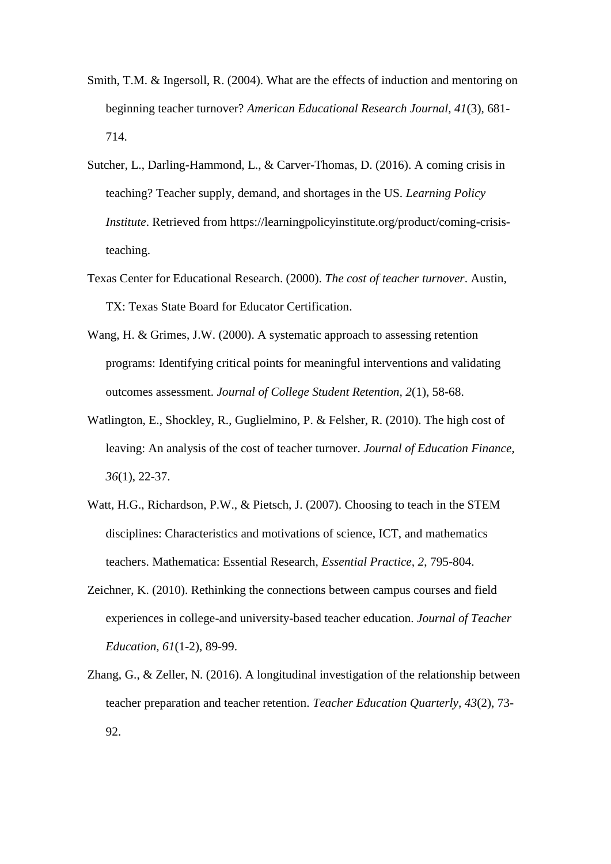- Smith, T.M. & Ingersoll, R. (2004). What are the effects of induction and mentoring on beginning teacher turnover? *American Educational Research Journal, 41*(3), 681- 714.
- Sutcher, L., Darling-Hammond, L., & Carver-Thomas, D. (2016). A coming crisis in teaching? Teacher supply, demand, and shortages in the US. *Learning Policy Institute*. Retrieved from https://learningpolicyinstitute.org/product/coming-crisisteaching.
- Texas Center for Educational Research. (2000). *The cost of teacher turnover*. Austin, TX: Texas State Board for Educator Certification.
- Wang, H. & Grimes, J.W. (2000). A systematic approach to assessing retention programs: Identifying critical points for meaningful interventions and validating outcomes assessment. *Journal of College Student Retention, 2*(1), 58-68.
- Watlington, E., Shockley, R., Guglielmino, P. & Felsher, R. (2010). The high cost of leaving: An analysis of the cost of teacher turnover. *Journal of Education Finance, 36*(1), 22-37.
- Watt, H.G., Richardson, P.W., & Pietsch, J. (2007). Choosing to teach in the STEM disciplines: Characteristics and motivations of science, ICT, and mathematics teachers. Mathematica: Essential Research, *Essential Practice, 2*, 795-804.
- Zeichner, K. (2010). Rethinking the connections between campus courses and field experiences in college-and university-based teacher education. *Journal of Teacher Education, 61*(1-2), 89-99.
- Zhang, G., & Zeller, N. (2016). A longitudinal investigation of the relationship between teacher preparation and teacher retention. *Teacher Education Quarterly, 43*(2), 73- 92.